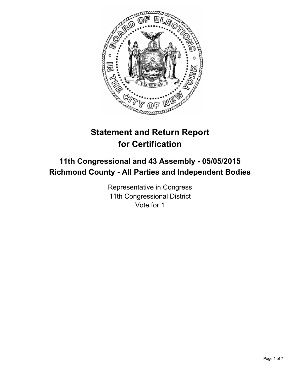

# **Statement and Return Report for Certification**

# **11th Congressional and 43 Assembly - 05/05/2015 Richmond County - All Parties and Independent Bodies**

Representative in Congress 11th Congressional District Vote for 1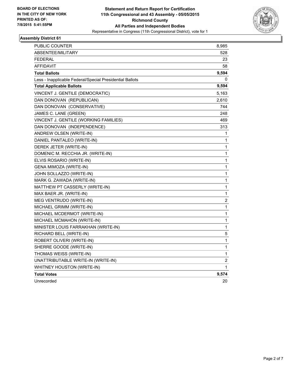

| <b>PUBLIC COUNTER</b>                                    | 8,985 |
|----------------------------------------------------------|-------|
| ABSENTEE/MILITARY                                        | 528   |
| <b>FEDERAL</b>                                           | 23    |
| <b>AFFIDAVIT</b>                                         | 58    |
| <b>Total Ballots</b>                                     | 9,594 |
| Less - Inapplicable Federal/Special Presidential Ballots | 0     |
| <b>Total Applicable Ballots</b>                          | 9,594 |
| VINCENT J. GENTILE (DEMOCRATIC)                          | 5,163 |
| DAN DONOVAN (REPUBLICAN)                                 | 2,610 |
| DAN DONOVAN (CONSERVATIVE)                               | 744   |
| JAMES C. LANE (GREEN)                                    | 248   |
| VINCENT J. GENTILE (WORKING FAMILIES)                    | 469   |
| DAN DONOVAN (INDEPENDENCE)                               | 313   |
| ANDREW OLSEN (WRITE-IN)                                  | 1     |
| DANIEL PANTALEO (WRITE-IN)                               | 1     |
| DEREK JETER (WRITE-IN)                                   | 1     |
| DOMENIC M. RECCHIA JR. (WRITE-IN)                        | 1     |
| ELVIS ROSARIO (WRITE-IN)                                 | 1     |
| GENA MIMOZA (WRITE-IN)                                   | 1     |
| JOHN SOLLAZZO (WRITE-IN)                                 | 1     |
| MARK G. ZAWADA (WRITE-IN)                                | 1     |
| MATTHEW PT CASSERLY (WRITE-IN)                           | 1     |
| MAX BAER JR. (WRITE-IN)                                  | 1     |
| MEG VENTRUDO (WRITE-IN)                                  | 2     |
| MICHAEL GRIMM (WRITE-IN)                                 | 1     |
| MICHAEL MCDERMOT (WRITE-IN)                              | 1     |
| MICHAEL MCMAHON (WRITE-IN)                               | 1     |
| MINISTER LOUIS FARRAKHAN (WRITE-IN)                      | 1     |
| RICHARD BELL (WRITE-IN)                                  | 5     |
| ROBERT OLIVERI (WRITE-IN)                                | 1     |
| SHERRE GOODE (WRITE-IN)                                  | 1     |
| THOMAS WEISS (WRITE-IN)                                  | 1     |
| UNATTRIBUTABLE WRITE-IN (WRITE-IN)                       | 2     |
| WHITNEY HOUSTON (WRITE-IN)                               | 1     |
| <b>Total Votes</b>                                       | 9,574 |
| Unrecorded                                               | 20    |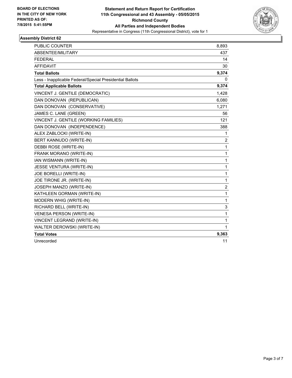

| <b>PUBLIC COUNTER</b>                                    | 8,893          |
|----------------------------------------------------------|----------------|
| ABSENTEE/MILITARY                                        | 437            |
| <b>FEDERAL</b>                                           | 14             |
| <b>AFFIDAVIT</b>                                         | 30             |
| <b>Total Ballots</b>                                     | 9,374          |
| Less - Inapplicable Federal/Special Presidential Ballots | 0              |
| <b>Total Applicable Ballots</b>                          | 9,374          |
| VINCENT J. GENTILE (DEMOCRATIC)                          | 1,428          |
| DAN DONOVAN (REPUBLICAN)                                 | 6,080          |
| DAN DONOVAN (CONSERVATIVE)                               | 1,271          |
| JAMES C. LANE (GREEN)                                    | 56             |
| VINCENT J. GENTILE (WORKING FAMILIES)                    | 121            |
| DAN DONOVAN (INDEPENDENCE)                               | 388            |
| ALEX ZABLOCKI (WRITE-IN)                                 | 1              |
| BERT KANNUDO (WRITE-IN)                                  | $\overline{2}$ |
| DEBBI ROSE (WRITE-IN)                                    | 1              |
| FRANK MORANO (WRITE-IN)                                  | 1              |
| IAN WISMANN (WRITE-IN)                                   | 1              |
| <b>JESSE VENTURA (WRITE-IN)</b>                          | 1              |
| JOE BORELLI (WRITE-IN)                                   | 1              |
| JOE TIRONE JR. (WRITE-IN)                                | 1              |
| JOSEPH MANZO (WRITE-IN)                                  | 2              |
| KATHLEEN GORMAN (WRITE-IN)                               | $\mathbf{1}$   |
| MODERN WHIG (WRITE-IN)                                   | 1              |
| RICHARD BELL (WRITE-IN)                                  | 3              |
| <b>VENESA PERSON (WRITE-IN)</b>                          | 1              |
| VINCENT LEGRAND (WRITE-IN)                               | 1              |
| WALTER DEROWSKI (WRITE-IN)                               | 1              |
| <b>Total Votes</b>                                       | 9,363          |
| Unrecorded                                               | 11             |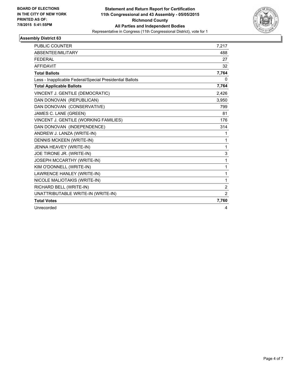

| <b>PUBLIC COUNTER</b>                                    | 7,217 |
|----------------------------------------------------------|-------|
| <b>ABSENTEE/MILITARY</b>                                 | 488   |
| <b>FEDERAL</b>                                           | 27    |
| <b>AFFIDAVIT</b>                                         | 32    |
| <b>Total Ballots</b>                                     | 7,764 |
| Less - Inapplicable Federal/Special Presidential Ballots | 0     |
| <b>Total Applicable Ballots</b>                          | 7,764 |
| VINCENT J. GENTILE (DEMOCRATIC)                          | 2,426 |
| DAN DONOVAN (REPUBLICAN)                                 | 3,950 |
| DAN DONOVAN (CONSERVATIVE)                               | 799   |
| JAMES C. LANE (GREEN)                                    | 81    |
| VINCENT J. GENTILE (WORKING FAMILIES)                    | 176   |
| DAN DONOVAN (INDEPENDENCE)                               | 314   |
| ANDREW J. LANZA (WRITE-IN)                               | 1     |
| <b>DENNIS MCKEEN (WRITE-IN)</b>                          | 1     |
| JENNA HEAVEY (WRITE-IN)                                  | 1     |
| JOE TIRONE JR. (WRITE-IN)                                | 3     |
| JOSEPH MCCARTHY (WRITE-IN)                               | 1     |
| KIM O'DONNELL (WRITE-IN)                                 | 1     |
| LAWRENCE HANLEY (WRITE-IN)                               | 1     |
| NICOLE MALIOTAKIS (WRITE-IN)                             | 1     |
| RICHARD BELL (WRITE-IN)                                  | 2     |
| UNATTRIBUTABLE WRITE-IN (WRITE-IN)                       | 2     |
| <b>Total Votes</b>                                       | 7,760 |
| Unrecorded                                               | 4     |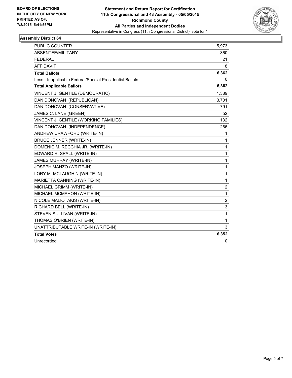

| <b>PUBLIC COUNTER</b>                                    | 5,973            |
|----------------------------------------------------------|------------------|
| ABSENTEE/MILITARY                                        | 360              |
| FEDERAL                                                  | 21               |
| <b>AFFIDAVIT</b>                                         | 8                |
| <b>Total Ballots</b>                                     | 6,362            |
| Less - Inapplicable Federal/Special Presidential Ballots | 0                |
| <b>Total Applicable Ballots</b>                          | 6,362            |
| VINCENT J. GENTILE (DEMOCRATIC)                          | 1,389            |
| DAN DONOVAN (REPUBLICAN)                                 | 3,701            |
| DAN DONOVAN (CONSERVATIVE)                               | 791              |
| JAMES C. LANE (GREEN)                                    | 52               |
| VINCENT J. GENTILE (WORKING FAMILIES)                    | 132              |
| DAN DONOVAN (INDEPENDENCE)                               | 266              |
| ANDREW CRAWFORD (WRITE-IN)                               | 1                |
| <b>BRUCE JENNER (WRITE-IN)</b>                           | 1                |
| DOMENIC M. RECCHIA JR. (WRITE-IN)                        | 1                |
| EDWARD R. SPALL (WRITE-IN)                               | 1                |
| <b>JAMES MURRAY (WRITE-IN)</b>                           | 1                |
| JOSEPH MANZO (WRITE-IN)                                  | 1                |
| LORY M. MCLAUGHIN (WRITE-IN)                             | 1                |
| MARIETTA CANNING (WRITE-IN)                              | 1                |
| MICHAEL GRIMM (WRITE-IN)                                 | $\boldsymbol{2}$ |
| MICHAEL MCMAHON (WRITE-IN)                               | 1                |
| NICOLE MALIOTAKIS (WRITE-IN)                             | $\overline{2}$   |
| RICHARD BELL (WRITE-IN)                                  | 3                |
| STEVEN SULLIVAN (WRITE-IN)                               | $\mathbf{1}$     |
| THOMAS O'BRIEN (WRITE-IN)                                | 1                |
| UNATTRIBUTABLE WRITE-IN (WRITE-IN)                       | 3                |
| <b>Total Votes</b>                                       | 6,352            |
| Unrecorded                                               | 10               |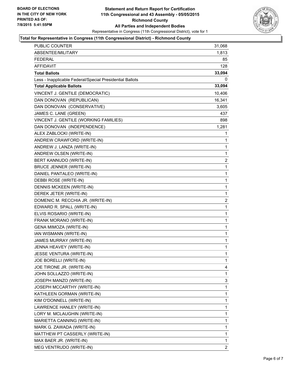

#### **Total for Representative in Congress (11th Congressional District) - Richmond County**

| PUBLIC COUNTER                                           | 31,068       |
|----------------------------------------------------------|--------------|
| ABSENTEE/MILITARY                                        | 1,813        |
| FEDERAL                                                  | 85           |
| <b>AFFIDAVIT</b>                                         | 128          |
| <b>Total Ballots</b>                                     | 33,094       |
| Less - Inapplicable Federal/Special Presidential Ballots | 0            |
| <b>Total Applicable Ballots</b>                          | 33,094       |
| VINCENT J. GENTILE (DEMOCRATIC)                          | 10,406       |
| DAN DONOVAN (REPUBLICAN)                                 | 16,341       |
| DAN DONOVAN (CONSERVATIVE)                               | 3,605        |
| JAMES C. LANE (GREEN)                                    | 437          |
| VINCENT J. GENTILE (WORKING FAMILIES)                    | 898          |
| DAN DONOVAN (INDEPENDENCE)                               | 1,281        |
| ALEX ZABLOCKI (WRITE-IN)                                 | 1            |
| ANDREW CRAWFORD (WRITE-IN)                               | 1            |
| ANDREW J. LANZA (WRITE-IN)                               | 1            |
| ANDREW OLSEN (WRITE-IN)                                  | 1            |
| BERT KANNUDO (WRITE-IN)                                  | 2            |
| <b>BRUCE JENNER (WRITE-IN)</b>                           | 1            |
| DANIEL PANTALEO (WRITE-IN)                               | 1            |
| DEBBI ROSE (WRITE-IN)                                    | 1            |
| DENNIS MCKEEN (WRITE-IN)                                 | 1            |
| DEREK JETER (WRITE-IN)                                   | 1            |
| DOMENIC M. RECCHIA JR. (WRITE-IN)                        | 2            |
| EDWARD R. SPALL (WRITE-IN)                               | 1            |
| ELVIS ROSARIO (WRITE-IN)                                 | 1            |
| FRANK MORANO (WRITE-IN)                                  | 1            |
| GENA MIMOZA (WRITE-IN)                                   | 1            |
| IAN WISMANN (WRITE-IN)                                   | 1            |
| JAMES MURRAY (WRITE-IN)                                  | 1            |
| JENNA HEAVEY (WRITE-IN)                                  | 1            |
| JESSE VENTURA (WRITE-IN)                                 | $\mathbf{1}$ |
| JOE BORELLI (WRITE-IN)                                   | 1            |
| JOE TIRONE JR. (WRITE-IN)                                | 4            |
| JOHN SOLLAZZO (WRITE-IN)                                 | 1            |
| JOSEPH MANZO (WRITE-IN)                                  | 3            |
| JOSEPH MCCARTHY (WRITE-IN)                               | 1            |
| KATHLEEN GORMAN (WRITE-IN)                               | 1            |
| KIM O'DONNELL (WRITE-IN)                                 | 1            |
| LAWRENCE HANLEY (WRITE-IN)                               | 1            |
| LORY M. MCLAUGHIN (WRITE-IN)                             | 1            |
| MARIETTA CANNING (WRITE-IN)                              | 1            |
| MARK G. ZAWADA (WRITE-IN)                                | 1            |
| MATTHEW PT CASSERLY (WRITE-IN)                           | 1            |
| MAX BAER JR. (WRITE-IN)                                  | 1            |
| MEG VENTRUDO (WRITE-IN)                                  | 2            |